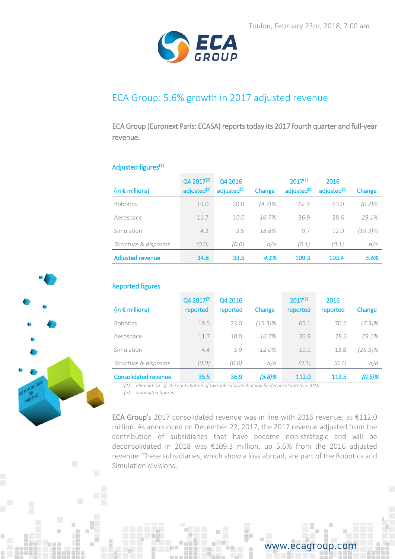

# ECA Group: 5.6% growth in 2017 adjusted revenue

ECA Group (Euronext Paris: ECASA) reports today its 2017 fourth quarter and full-year revenue.

| (in $\epsilon$ millions) | Q4 2017 <sup>(2)</sup><br>adjusted <sup>(1)</sup> | Q4 2016<br>adjusted <sup>(1)</sup> | Change | $2017^{(2)}$<br>adjusted <sup>(1)</sup> | 2016<br>adjusted <sup>(1)</sup> | Change    |
|--------------------------|---------------------------------------------------|------------------------------------|--------|-----------------------------------------|---------------------------------|-----------|
| Robotics                 | 19.0                                              | 20.0                               | (4.7)% | 62.9                                    | 63.0                            | $(0.2)\%$ |
| Aerospace                | 11.7                                              | 10.0                               | 16.7%  | 36.9                                    | 28.6                            | 29.1%     |
| Simulation               | 4.2                                               | 3.5                                | 18.8%  | 9.7                                     | 12.0                            | (19.3)%   |
| Structure & disposals    | (0.0)                                             | (0.0)                              | n/a    | (0.1)                                   | (0.1)                           | n/a       |
| <b>Adjusted revenue</b>  | 34.8                                              | 33.5                               | 4.1%   | 109.3                                   | 103.4                           | 5.6%      |

### Adjusted figures<sup>(1)</sup>

### Reported figures

| (in $\epsilon$ millions)    | Q4 2017 <sup>(2)</sup><br>reported | Q4 2016<br>reported | Change  | $2017^{(2)}$<br>reported | 2016<br>reported | Change    |
|-----------------------------|------------------------------------|---------------------|---------|--------------------------|------------------|-----------|
| Robotics                    | 19.5                               | 23.0                | (15.3)% | 65.1                     | 70.2             | $(7.3)\%$ |
| Aerospace                   | 11.7                               | 10.0                | 16.7%   | 36.9                     | 28.6             | 29.1%     |
| Simulation                  | 4.4                                | 3.9                 | 12.0%   | 10.1                     | 13.8             | (26.5)%   |
| Structure & disposals       | (0.0)                              | (0.0)               | n/a     | (0.1)                    | (0.1)            | n/a       |
| <b>Consolidated revenue</b> | 35.5                               | 36.9                | (3.8)%  | 112.0                    | 112.5            | (0.5)%    |

*(1) Elimination of the contribution of two subsidiaries that will be deconsolidated in 2018 (2) Unaudited figures*

ECA Group's 2017 consolidated revenue was in line with 2016 revenue, at €112.0 million. As announced on December 22, 2017, the 2017 revenue adjusted from the contribution of subsidiaries that have become non-strategic and will be deconsolidated in 2018 was €109.3 million, up 5.6% from the 2016 adjusted revenue. These subsidiaries, which show a loss abroad, are part of the Robotics and Simulation divisions.



## www.ecagroup.com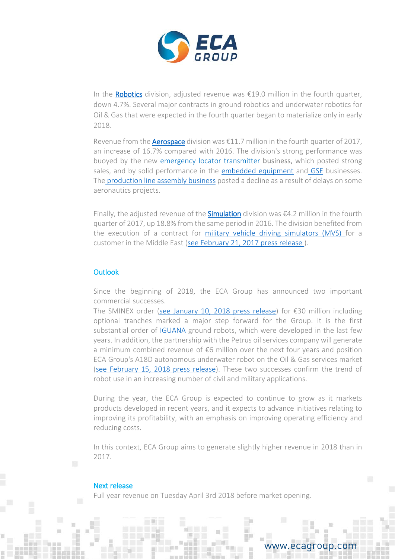

In the **Robotics** division, adjusted revenue was  $\epsilon$ 19.0 million in the fourth quarter, down 4.7%. Several major contracts in ground robotics and underwater robotics for Oil & Gas that were expected in the fourth quarter began to materialize only in early 2018.

Revenue from the **Aerospace** division was  $\epsilon$ 11.7 million in the fourth quarter of 2017, an increase of 16.7% compared with 2016. The division's strong performance was buoyed by the new [emergency locator transmitter](https://www.ecagroup.com/en/activities/aerospace-emergency-locator-transmitters-elts) business, which posted strong sales, and by solid performance in the [embedded equipment](https://www.ecagroup.com/en/aerospace/aerospace-on-board-electronics) and [GSE](https://www.ecagroup.com/en/aerospace/aerospace-ground-support-equipment-mgse-egse) businesses. The [production line assembly business](https://www.ecagroup.com/en/aerospace/aerospace-assembly-lines) posted a decline as a result of delays on some aeronautics projects.

Finally, the adjusted revenue of the **Simulation** division was  $\epsilon$ 4.2 million in the fourth quarter of 2017, up 18.8% from the same period in 2016. The division benefited from the execution of a contract for [military vehicle driving simulators \(MVS\)](https://www.ecagroup.com/en/solutions/military-vehicle-simulator) for a customer in the Middle East [\(see February 21, 2017](https://www.ecagroup.com/en/financial/eca-group-announces-2nd-contract-military-vehicle-training-simulators) press release ).

### **Outlook**

Since the beginning of 2018, the ECA Group has announced two important commercial successes.

The SMINEX order [\(see January 10, 2018](https://www.ecagroup.com/en/business/over-30-meu-contract-eca-group-supply-unmanned-ground-vehicles-ugvs-french-ministry-armed) press release) for €30 million including optional tranches marked a major step forward for the Group. It is the first substantial order of [IGUANA](https://www.ecagroup.com/en/solutions/iguana-e-ugv-unmanned-ground-vehicle) ground robots, which were developed in the last few years. In addition, the partnership with the Petrus oil services company will generate a minimum combined revenue of €6 million over the next four years and position ECA Group's A18D autonomous underwater robot on the Oil & Gas services market [\(see February 15, 2018](https://www.ecagroup.com/en/financial/eca-group-petrus-significant-partnership-and-positioning-subsea-robotics-services-auvs-and) press release). These two successes confirm the trend of robot use in an increasing number of civil and military applications.

During the year, the ECA Group is expected to continue to grow as it markets products developed in recent years, and it expects to advance initiatives relating to improving its profitability, with an emphasis on improving operating efficiency and reducing costs.

In this context, ECA Group aims to generate slightly higher revenue in 2018 than in 2017.

www.ecagroup.com

### Next release

Full year revenue on Tuesday April 3rd 2018 before market opening.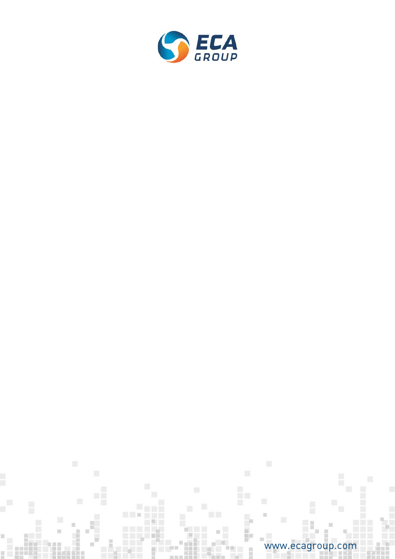

a Papi

₩,

u i

t<br>B

皿

ш

п

顶

Ì

 $\frac{1}{2}$ 

i.

H

88 T L

U

H

W IT

i<br>Ind

Ŵ

 $\mathbb{R}^n$ 

www.ecagroup.com

H.

i.

Ì

태

ü

H.

aille.

**HET** 

言語

眉